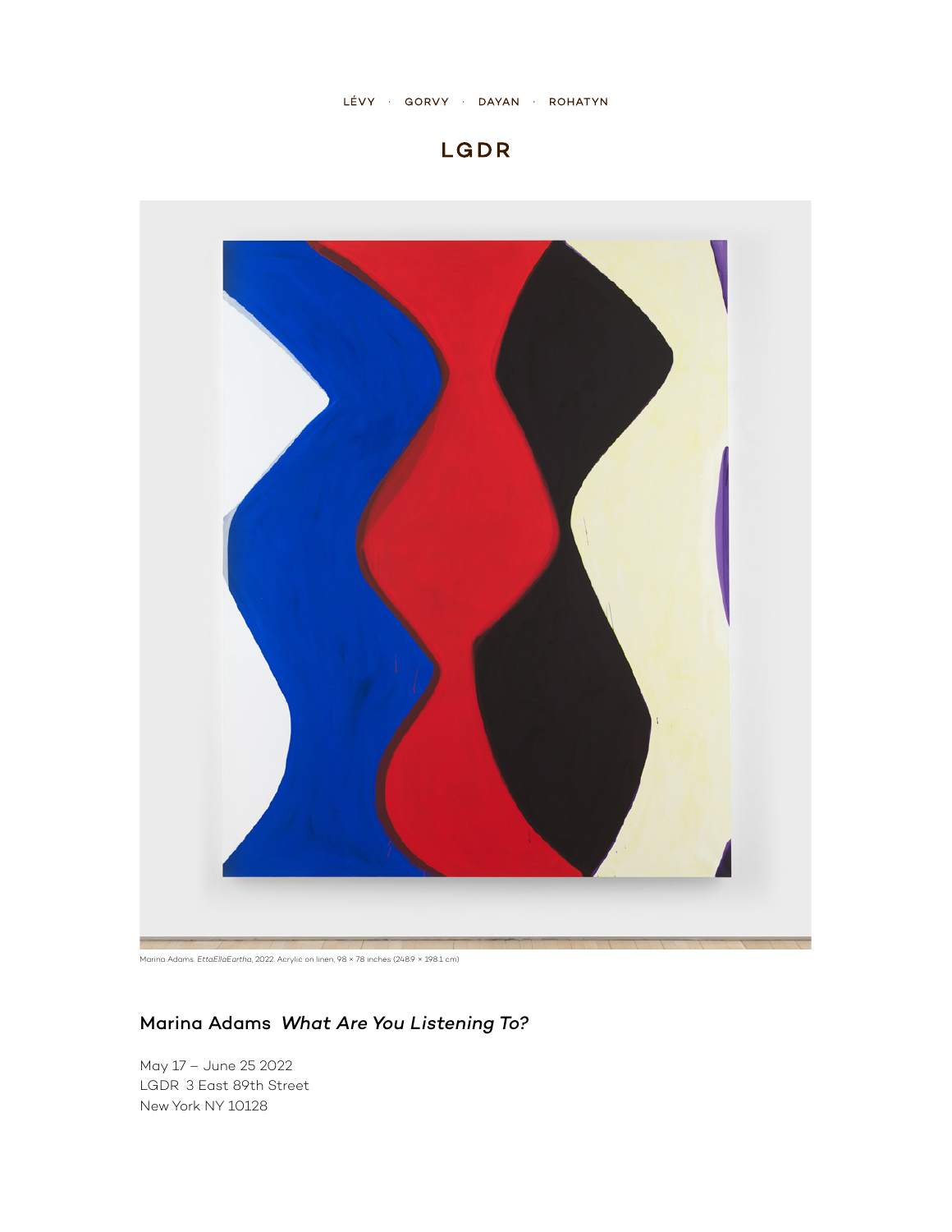





## Marina Adams *What Are You Listening To?*

May 17 – June 25 2022 LGDR 3 East 89th Street New York NY 10128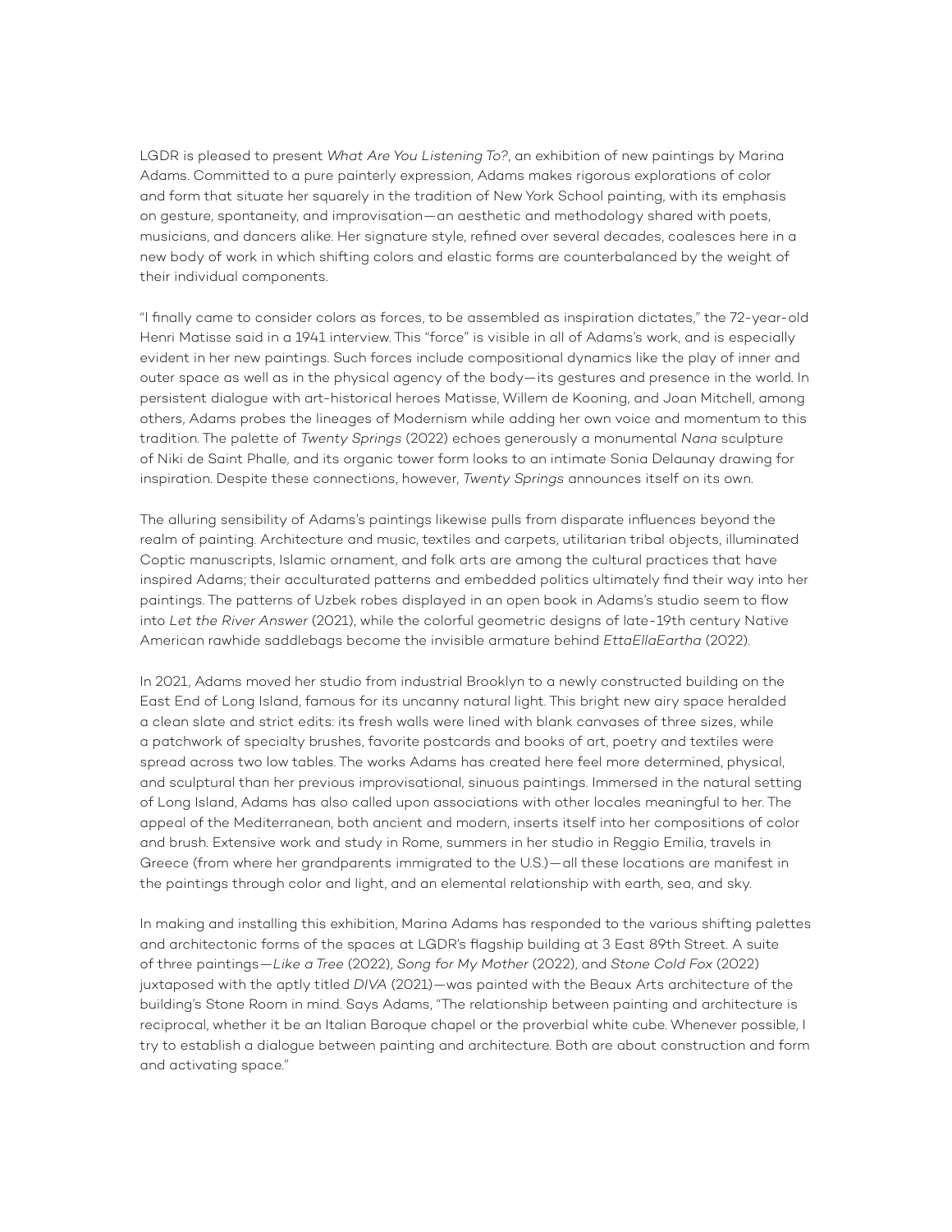LGDR is pleased to present *What Are You Listening To?*, an exhibition of new paintings by Marina Adams. Committed to a pure painterly expression, Adams makes rigorous explorations of color and form that situate her squarely in the tradition of New York School painting, with its emphasis on gesture, spontaneity, and improvisation—an aesthetic and methodology shared with poets, musicians, and dancers alike. Her signature style, refined over several decades, coalesces here in a new body of work in which shifting colors and elastic forms are counterbalanced by the weight of their individual components.

"I finally came to consider colors as forces, to be assembled as inspiration dictates," the 72-year-old Henri Matisse said in a 1941 interview. This "force" is visible in all of Adams's work, and is especially evident in her new paintings. Such forces include compositional dynamics like the play of inner and outer space as well as in the physical agency of the body—its gestures and presence in the world. In persistent dialogue with art-historical heroes Matisse, Willem de Kooning, and Joan Mitchell, among others, Adams probes the lineages of Modernism while adding her own voice and momentum to this tradition. The palette of *Twenty Springs* (2022) echoes generously a monumental *Nana* sculpture of Niki de Saint Phalle, and its organic tower form looks to an intimate Sonia Delaunay drawing for inspiration. Despite these connections, however, *Twenty Springs* announces itself on its own.

The alluring sensibility of Adams's paintings likewise pulls from disparate influences beyond the realm of painting. Architecture and music, textiles and carpets, utilitarian tribal objects, illuminated Coptic manuscripts, Islamic ornament, and folk arts are among the cultural practices that have inspired Adams; their acculturated patterns and embedded politics ultimately find their way into her paintings. The patterns of Uzbek robes displayed in an open book in Adams's studio seem to flow into *Let the River Answer* (2021), while the colorful geometric designs of late-19th century Native American rawhide saddlebags become the invisible armature behind *EttaEllaEartha* (2022).

In 2021, Adams moved her studio from industrial Brooklyn to a newly constructed building on the East End of Long Island, famous for its uncanny natural light. This bright new airy space heralded a clean slate and strict edits: its fresh walls were lined with blank canvases of three sizes, while a patchwork of specialty brushes, favorite postcards and books of art, poetry and textiles were spread across two low tables. The works Adams has created here feel more determined, physical, and sculptural than her previous improvisational, sinuous paintings. Immersed in the natural setting of Long Island, Adams has also called upon associations with other locales meaningful to her. The appeal of the Mediterranean, both ancient and modern, inserts itself into her compositions of color and brush. Extensive work and study in Rome, summers in her studio in Reggio Emilia, travels in Greece (from where her grandparents immigrated to the U.S.)—all these locations are manifest in the paintings through color and light, and an elemental relationship with earth, sea, and sky.

In making and installing this exhibition, Marina Adams has responded to the various shifting palettes and architectonic forms of the spaces at LGDR's flagship building at 3 East 89th Street. A suite of three paintings—*Like a Tree* (2022), *Song for My Mother* (2022), and *Stone Cold Fox* (2022) juxtaposed with the aptly titled *DIVA* (2021)—was painted with the Beaux Arts architecture of the building's Stone Room in mind. Says Adams, "The relationship between painting and architecture is reciprocal, whether it be an Italian Baroque chapel or the proverbial white cube. Whenever possible, I try to establish a dialogue between painting and architecture. Both are about construction and form and activating space."